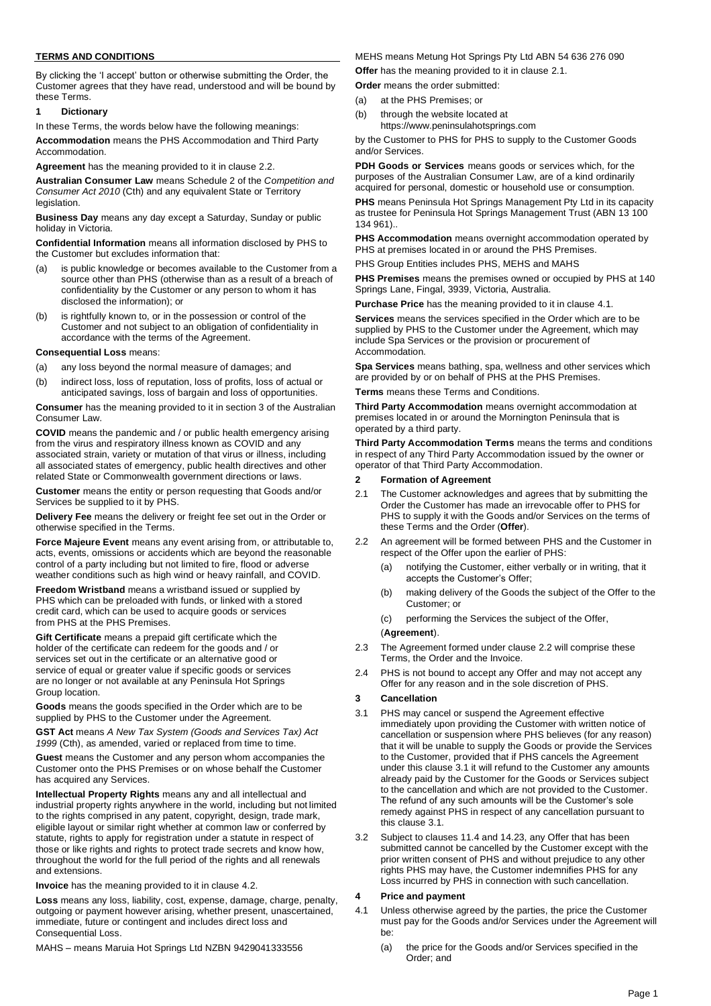### **TERMS AND CONDITIONS**

By clicking the 'I accept' button or otherwise submitting the Order, the Customer agrees that they have read, understood and will be bound by these Terms.

#### **1 Dictionary**

In these Terms, the words below have the following meanings:

**Accommodation** means the PHS Accommodation and Third Party **Accommodation** 

**Agreement** has the meaning provided to it in clause [2.2.](#page-0-0)

**Australian Consumer Law** means Schedule 2 of the *Competition and Consumer Act 2010* (Cth) and any equivalent State or Territory legislation.

**Business Day** means any day except a Saturday, Sunday or public holiday in Victoria.

**Confidential Information** means all information disclosed by PHS to the Customer but excludes information that:

- (a) is public knowledge or becomes available to the Customer from a source other than PHS (otherwise than as a result of a breach of confidentiality by the Customer or any person to whom it has disclosed the information); or
- (b) is rightfully known to, or in the possession or control of the Customer and not subject to an obligation of confidentiality in accordance with the terms of the Agreement.

### **Consequential Loss** means:

- (a) any loss beyond the normal measure of damages; and
- (b) indirect loss, loss of reputation, loss of profits, loss of actual or anticipated savings, loss of bargain and loss of opportunities.

**Consumer** has the meaning provided to it in section 3 of the Australian Consumer Law.

**COVID** means the pandemic and / or public health emergency arising from the virus and respiratory illness known as COVID and any associated strain, variety or mutation of that virus or illness, including all associated states of emergency, public health directives and other related State or Commonwealth government directions or laws.

**Customer** means the entity or person requesting that Goods and/or Services be supplied to it by PHS.

**Delivery Fee** means the delivery or freight fee set out in the Order or otherwise specified in the Terms.

**Force Majeure Event** means any event arising from, or attributable to, acts, events, omissions or accidents which are beyond the reasonable control of a party including but not limited to fire, flood or adverse weather conditions such as high wind or heavy rainfall, and COVID.

**Freedom Wristband** means a wristband issued or supplied by PHS which can be preloaded with funds, or linked with a stored credit card, which can be used to acquire goods or services from PHS at the PHS Premises.

**Gift Certificate** means a prepaid gift certificate which the holder of the certificate can redeem for the goods and / or services set out in the certificate or an alternative good or service of equal or greater value if specific goods or services are no longer or not available at any Peninsula Hot Springs Group location.

**Goods** means the goods specified in the Order which are to be supplied by PHS to the Customer under the Agreement.

**GST Act** means *A New Tax System (Goods and Services Tax) Act 1999* (Cth), as amended, varied or replaced from time to time.

**Guest** means the Customer and any person whom accompanies the Customer onto the PHS Premises or on whose behalf the Customer has acquired any Services.

**Intellectual Property Rights** means any and all intellectual and industrial property rights anywhere in the world, including but not limited to the rights comprised in any patent, copyright, design, trade mark, eligible layout or similar right whether at common law or conferred by statute, rights to apply for registration under a statute in respect of those or like rights and rights to protect trade secrets and know how, throughout the world for the full period of the rights and all renewals and extensions.

**Invoice** has the meaning provided to it in clause [4.2.](#page-1-0)

**Loss** means any loss, liability, cost, expense, damage, charge, penalty, outgoing or payment however arising, whether present, unascertained, immediate, future or contingent and includes direct loss and Consequential Loss.

MAHS – means Maruia Hot Springs Ltd NZBN 9429041333556

MEHS means Metung Hot Springs Pty Ltd ABN 54 636 276 090

**Offer** has the meaning provided to it in clause [2.1.](#page-0-1)

- **Order** means the order submitted:
- (a) at the PHS Premises; or
- (b) through the website located at
	- https:[//www.peninsulahotsprings.com](http://www.peninsulahotsprings.com/)

by the Customer to PHS for PHS to supply to the Customer Goods and/or Services.

**PDH Goods or Services** means goods or services which, for the purposes of the Australian Consumer Law, are of a kind ordinarily acquired for personal, domestic or household use or consumption.

**PHS** means Peninsula Hot Springs Management Pty Ltd in its capacity as trustee for Peninsula Hot Springs Management Trust (ABN 13 100 134 961)..

**PHS Accommodation** means overnight accommodation operated by PHS at premises located in or around the PHS Premises.

PHS Group Entities includes PHS, MEHS and MAHS

**PHS Premises** means the premises owned or occupied by PHS at 140 Springs Lane, Fingal, 3939, Victoria, Australia.

**Purchase Price** has the meaning provided to it in clause [4.1.](#page-0-2)

**Services** means the services specified in the Order which are to be supplied by PHS to the Customer under the Agreement, which may include Spa Services or the provision or procurement of Accommodation.

**Spa Services** means bathing, spa, wellness and other services which are provided by or on behalf of PHS at the PHS Premises.

**Terms** means these Terms and Conditions.

**Third Party Accommodation** means overnight accommodation at premises located in or around the Mornington Peninsula that is operated by a third party.

**Third Party Accommodation Terms** means the terms and conditions in respect of any Third Party Accommodation issued by the owner or operator of that Third Party Accommodation.

### **2 Formation of Agreement**

- <span id="page-0-1"></span>2.1 The Customer acknowledges and agrees that by submitting the Order the Customer has made an irrevocable offer to PHS for PHS to supply it with the Goods and/or Services on the terms of these Terms and the Order (**Offer**).
- <span id="page-0-0"></span>2.2 An agreement will be formed between PHS and the Customer in respect of the Offer upon the earlier of PHS:
	- (a) notifying the Customer, either verbally or in writing, that it accepts the Customer's Offer;
	- (b) making delivery of the Goods the subject of the Offer to the Customer; or
	- (c) performing the Services the subject of the Offer,

### (**Agreement**).

- 2.3 The Agreement formed under claus[e 2.2 w](#page-0-0)ill comprise these Terms, the Order and the Invoice.
- 2.4 PHS is not bound to accept any Offer and may not accept any Offer for any reason and in the sole discretion of PHS.

### **3 Cancellation**

<span id="page-0-3"></span>3.1 PHS may cancel or suspend the Agreement effective immediately upon providing the Customer with written notice of cancellation or suspension where PHS believes (for any reason) that it will be unable to supply the Goods or provide the Services to the Customer, provided that if PHS cancels the Agreement under this clause [3.1 it](#page-0-3) will refund to the Customer any amounts already paid by the Customer for the Goods or Services subject to the cancellation and which are not provided to the Customer. The refund of any such amounts will be the Customer's sole remedy against PHS in respect of any cancellation pursuant to this clause [3.1.](#page-0-3)

3.2 Subject to clauses [11.4 a](#page-1-1)n[d 14.23, a](#page-4-0)ny Offer that has been submitted cannot be cancelled by the Customer except with the prior written consent of PHS and without prejudice to any other rights PHS may have, the Customer indemnifies PHS for any Loss incurred by PHS in connection with such cancellation.

# **4 Price and payment**

- <span id="page-0-2"></span>4.1 Unless otherwise agreed by the parties, the price the Customer must pay for the Goods and/or Services under the Agreement will be:
	- (a) the price for the Goods and/or Services specified in the Order; and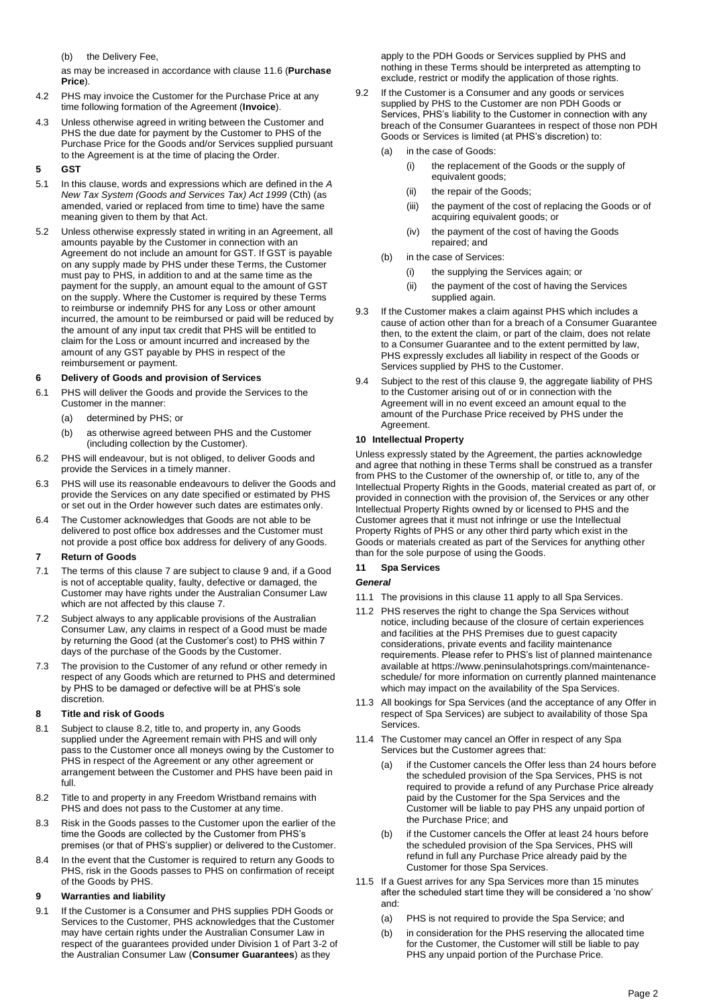(b) the Delivery Fee,

as may be increased in accordance with clause [11.6 \(](#page-2-0)**Purchase Price**).

- <span id="page-1-0"></span>4.2 PHS may invoice the Customer for the Purchase Price at any time following formation of the Agreement (**Invoice**).
- <span id="page-1-6"></span>4.3 Unless otherwise agreed in writing between the Customer and PHS the due date for payment by the Customer to PHS of the Purchase Price for the Goods and/or Services supplied pursuant to the Agreement is at the time of placing the Order.

# **5 GST**

- 5.1 In this clause, words and expressions which are defined in the *A New Tax System (Goods and Services Tax) Act 1999* (Cth) (as amended, varied or replaced from time to time) have the same meaning given to them by that Act.
- 5.2 Unless otherwise expressly stated in writing in an Agreement, all amounts payable by the Customer in connection with an Agreement do not include an amount for GST. If GST is payable on any supply made by PHS under these Terms, the Customer must pay to PHS, in addition to and at the same time as the payment for the supply, an amount equal to the amount of GST on the supply. Where the Customer is required by these Terms to reimburse or indemnify PHS for any Loss or other amount incurred, the amount to be reimbursed or paid will be reduced by the amount of any input tax credit that PHS will be entitled to claim for the Loss or amount incurred and increased by the amount of any GST payable by PHS in respect of the reimbursement or payment.

### **6 Delivery of Goods and provision of Services**

- 6.1 PHS will deliver the Goods and provide the Services to the Customer in the manner:
	- (a) determined by PHS; or
	- (b) as otherwise agreed between PHS and the Customer (including collection by the Customer).
- 6.2 PHS will endeavour, but is not obliged, to deliver Goods and provide the Services in a timely manner.
- 6.3 PHS will use its reasonable endeavours to deliver the Goods and provide the Services on any date specified or estimated by PHS or set out in the Order however such dates are estimates only.
- 6.4 The Customer acknowledges that Goods are not able to be delivered to post office box addresses and the Customer must not provide a post office box address for delivery of any Goods.

### <span id="page-1-2"></span>**7 Return of Goods**

- 7.1 The terms of this claus[e 7 a](#page-1-2)re subject to clause [9 a](#page-1-3)nd, if a Good is not of acceptable quality, faulty, defective or damaged, the Customer may have rights under the Australian Consumer Law which are not affected by this clause [7.](#page-1-2)
- 7.2 Subject always to any applicable provisions of the Australian Consumer Law, any claims in respect of a Good must be made by returning the Good (at the Customer's cost) to PHS within 7 days of the purchase of the Goods by the Customer.
- 7.3 The provision to the Customer of any refund or other remedy in respect of any Goods which are returned to PHS and determined by PHS to be damaged or defective will be at PHS's sole discretion.

# **8 Title and risk of Goods**

- 8.1 Subject to claus[e 8.2, t](#page-1-4)itle to, and property in, any Goods supplied under the Agreement remain with PHS and will only pass to the Customer once all moneys owing by the Customer to PHS in respect of the Agreement or any other agreement or arrangement between the Customer and PHS have been paid in full.
- <span id="page-1-4"></span>8.2 Title to and property in any Freedom Wristband remains with PHS and does not pass to the Customer at any time.
- 8.3 Risk in the Goods passes to the Customer upon the earlier of the time the Goods are collected by the Customer from PHS's premises (or that of PHS's supplier) or delivered to the Customer.
- 8.4 In the event that the Customer is required to return any Goods to PHS, risk in the Goods passes to PHS on confirmation of receipt of the Goods by PHS.

# <span id="page-1-3"></span>**9 Warranties and liability**

9.1 If the Customer is a Consumer and PHS supplies PDH Goods or Services to the Customer, PHS acknowledges that the Customer may have certain rights under the Australian Consumer Law in respect of the guarantees provided under Division 1 of Part 3-2 of the Australian Consumer Law (**Consumer Guarantees**) as they

apply to the PDH Goods or Services supplied by PHS and nothing in these Terms should be interpreted as attempting to exclude, restrict or modify the application of those rights.

- 9.2 If the Customer is a Consumer and any goods or services supplied by PHS to the Customer are non PDH Goods or Services, PHS's liability to the Customer in connection with any breach of the Consumer Guarantees in respect of those non PDH Goods or Services is limited (at PHS's discretion) to:
	- (a) in the case of Goods:
		- (i) the replacement of the Goods or the supply of equivalent goods;
		- (ii) the repair of the Goods;
		- (iii) the payment of the cost of replacing the Goods or of acquiring equivalent goods; or
		- (iv) the payment of the cost of having the Goods repaired; and
	- (b) in the case of Services:
		- (i) the supplying the Services again; or
		- (ii) the payment of the cost of having the Services supplied again.
- 9.3 If the Customer makes a claim against PHS which includes a cause of action other than for a breach of a Consumer Guarantee then, to the extent the claim, or part of the claim, does not relate to a Consumer Guarantee and to the extent permitted by law, PHS expressly excludes all liability in respect of the Goods or Services supplied by PHS to the Customer.
- 9.4 Subject to the rest of this clause [9, t](#page-1-3)he aggregate liability of PHS to the Customer arising out of or in connection with the Agreement will in no event exceed an amount equal to the amount of the Purchase Price received by PHS under the Agreement.

# **10 Intellectual Property**

Unless expressly stated by the Agreement, the parties acknowledge and agree that nothing in these Terms shall be construed as a transfer from PHS to the Customer of the ownership of, or title to, any of the Intellectual Property Rights in the Goods, material created as part of, or provided in connection with the provision of, the Services or any other Intellectual Property Rights owned by or licensed to PHS and the Customer agrees that it must not infringe or use the Intellectual Property Rights of PHS or any other third party which exist in the Goods or materials created as part of the Services for anything other than for the sole purpose of using the Goods.

# <span id="page-1-5"></span>**11 Spa Services**

# *General*

- 11.1 The provisions in this clause [11 a](#page-1-5)pply to all Spa Services.
- 11.2 PHS reserves the right to change the Spa Services without notice, including because of the closure of certain experiences and facilities at the PHS Premises due to guest capacity considerations, private events and facility maintenance requirements. Please refer to PHS's list [of planned maintenance](https://www.peninsulahotsprings.com/maintenance-schedule/) available at https:/[/www.peninsulahotsprings.com/maintenance](http://www.peninsulahotsprings.com/maintenance-)schedule/ for more information on currently planned maintenance which may impact on the availability of the Spa Services.
- 11.3 All bookings for Spa Services (and the acceptance of any Offer in respect of Spa Services) are subject to availability of those Spa Services.
- <span id="page-1-1"></span>11.4 The Customer may cancel an Offer in respect of any Spa Services but the Customer agrees that:
	- (a) if the Customer cancels the Offer less than 24 hours before the scheduled provision of the Spa Services, PHS is not required to provide a refund of any Purchase Price already paid by the Customer for the Spa Services and the Customer will be liable to pay PHS any unpaid portion of the Purchase Price; and
	- (b) if the Customer cancels the Offer at least 24 hours before the scheduled provision of the Spa Services, PHS will refund in full any Purchase Price already paid by the Customer for those Spa Services.
- 11.5 If a Guest arrives for any Spa Services more than 15 minutes after the scheduled start time they will be considered a 'no show' and:
	- (a) PHS is not required to provide the Spa Service; and
	- (b) in consideration for the PHS reserving the allocated time for the Customer, the Customer will still be liable to pay PHS any unpaid portion of the Purchase Price.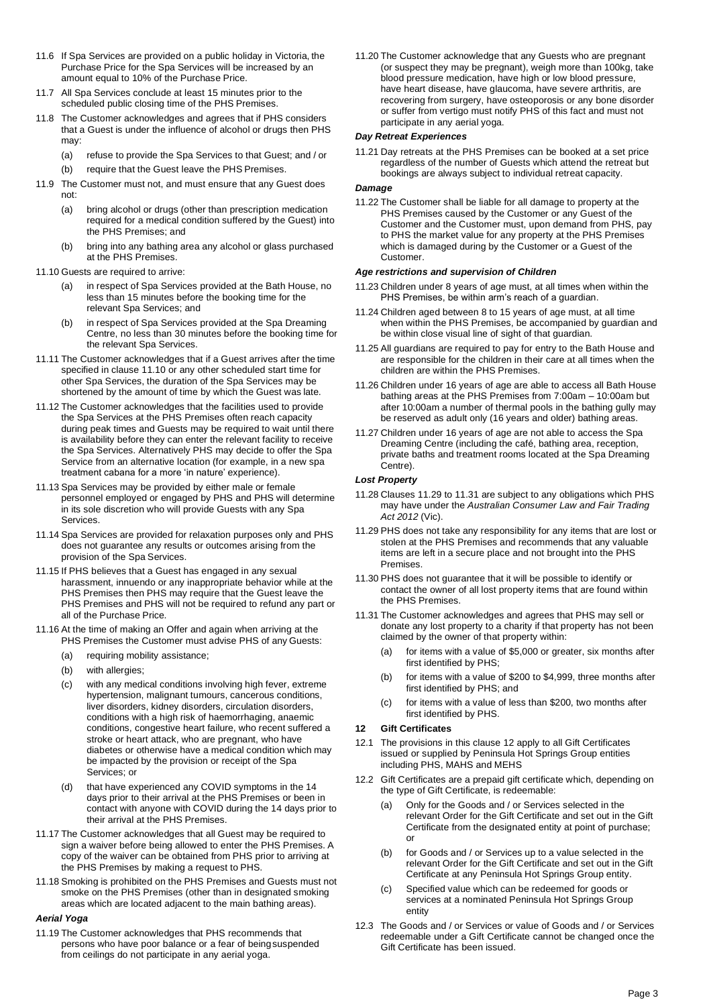- <span id="page-2-0"></span>11.6 If Spa Services are provided on a public holiday in Victoria, the Purchase Price for the Spa Services will be increased by an amount equal to 10% of the Purchase Price.
- 11.7 All Spa Services conclude at least 15 minutes prior to the scheduled public closing time of the PHS Premises.
- 11.8 The Customer acknowledges and agrees that if PHS considers that a Guest is under the influence of alcohol or drugs then PHS may:
	- (a) refuse to provide the Spa Services to that Guest; and / or (b) require that the Guest leave the PHS Premises.
- 11.9 The Customer must not, and must ensure that any Guest does not:
	- (a) bring alcohol or drugs (other than prescription medication required for a medical condition suffered by the Guest) into the PHS Premises; and
	- (b) bring into any bathing area any alcohol or glass purchased at the PHS Premises.
- <span id="page-2-1"></span>11.10 Guests are required to arrive:
	- (a) in respect of Spa Services provided at the Bath House, no less than 15 minutes before the booking time for the relevant Spa Services; and
	- (b) in respect of Spa Services provided at the Spa Dreaming Centre, no less than 30 minutes before the booking time for the relevant Spa Services.
- 11.11 The Customer acknowledges that if a Guest arrives after the time specified in clause [11.10 o](#page-2-1)r any other scheduled start time for other Spa Services, the duration of the Spa Services may be shortened by the amount of time by which the Guest was late.
- 11.12 The Customer acknowledges that the facilities used to provide the Spa Services at the PHS Premises often reach capacity during peak times and Guests may be required to wait until there is availability before they can enter the relevant facility to receive the Spa Services. Alternatively PHS may decide to offer the Spa Service from an alternative location (for example, in a new spa treatment cabana for a more 'in nature' experience).
- 11.13 Spa Services may be provided by either male or female personnel employed or engaged by PHS and PHS will determine in its sole discretion who will provide Guests with any Spa **Services**
- 11.14 Spa Services are provided for relaxation purposes only and PHS does not guarantee any results or outcomes arising from the provision of the Spa Services.
- 11.15 If PHS believes that a Guest has engaged in any sexual harassment, innuendo or any inappropriate behavior while at the PHS Premises then PHS may require that the Guest leave the PHS Premises and PHS will not be required to refund any part or all of the Purchase Price.
- 11.16 At the time of making an Offer and again when arriving at the PHS Premises the Customer must advise PHS of any Guests:
	- (a) requiring mobility assistance;
	- (b) with allergies;
	- (c) with any medical conditions involving high fever, extreme hypertension, malignant tumours, cancerous conditions, liver disorders, kidney disorders, circulation disorders, conditions with a high risk of haemorrhaging, anaemic conditions, congestive heart failure, who recent suffered a stroke or heart attack, who are pregnant, who have diabetes or otherwise have a medical condition which may be impacted by the provision or receipt of the Spa Services; or
	- (d) that have experienced any COVID symptoms in the 14 days prior to their arrival at the PHS Premises or been in contact with anyone with COVID during the 14 days prior to their arrival at the PHS Premises.
- 11.17 The Customer acknowledges that all Guest may be required to sign a waiver before being allowed to enter the PHS Premises. A copy of the waiver can be obtained from PHS prior to arriving at the PHS Premises by making a request to PHS.
- 11.18 Smoking is prohibited on the PHS Premises and Guests must not smoke on the PHS Premises (other than in designated smoking areas which are located adjacent to the main bathing areas).

### *Aerial Yoga*

11.19 The Customer acknowledges that PHS recommends that persons who have poor balance or a fear of beingsuspended from ceilings do not participate in any aerial yoga.

11.20 The Customer acknowledge that any Guests who are pregnant (or suspect they may be pregnant), weigh more than 100kg, take blood pressure medication, have high or low blood pressure, have heart disease, have glaucoma, have severe arthritis, are recovering from surgery, have osteoporosis or any bone disorder or suffer from vertigo must notify PHS of this fact and must not participate in any aerial yoga.

### *Day Retreat Experiences*

11.21 Day retreats at the PHS Premises can be booked at a set price regardless of the number of Guests which attend the retreat but bookings are always subject to individual retreat capacity.

#### *Damage*

11.22 The Customer shall be liable for all damage to property at the PHS Premises caused by the Customer or any Guest of the Customer and the Customer must, upon demand from PHS, pay to PHS the market value for any property at the PHS Premises which is damaged during by the Customer or a Guest of the Customer.

### *Age restrictions and supervision of Children*

- 11.23 Children under 8 years of age must, at all times when within the PHS Premises, be within arm's reach of a guardian.
- 11.24 Children aged between 8 to 15 years of age must, at all time when within the PHS Premises, be accompanied by guardian and be within close visual line of sight of that guardian.
- 11.25 All guardians are required to pay for entry to the Bath House and are responsible for the children in their care at all times when the children are within the PHS Premises.
- 11.26 Children under 16 years of age are able to access all Bath House bathing areas at the PHS Premises from 7:00am – 10:00am but after 10:00am a number of thermal pools in the bathing gully may be reserved as adult only (16 years and older) bathing areas.
- 11.27 Children under 16 years of age are not able to access the Spa Dreaming Centre (including the café, bathing area, reception, private baths and treatment rooms located at the Spa Dreaming Centre).

### *Lost Property*

- 11.28 Clauses [11.29 to](#page-2-2) [11.31 a](#page-2-3)re subject to any obligations which PHS may have under the *Australian Consumer Law and Fair Trading Act 2012* (Vic).
- <span id="page-2-2"></span>11.29 PHS does not take any responsibility for any items that are lost or stolen at the PHS Premises and recommends that any valuable items are left in a secure place and not brought into the PHS Premises.
- 11.30 PHS does not guarantee that it will be possible to identify or contact the owner of all lost property items that are found within the PHS Premises.
- <span id="page-2-3"></span>11.31 The Customer acknowledges and agrees that PHS may sell or donate any lost property to a charity if that property has not been claimed by the owner of that property within:
	- (a) for items with a value of \$5,000 or greater, six months after first identified by PHS;
	- (b) for items with a value of \$200 to \$4,999, three months after first identified by PHS; and
	- (c) for items with a value of less than \$200, two months after first identified by PHS.

### <span id="page-2-4"></span>**12 Gift Certificates**

- 12.1 The provisions in this clause [12 a](#page-2-4)pply to all Gift Certificates issued or supplied by Peninsula Hot Springs Group entities including PHS, MAHS and MEHS
- 12.2 Gift Certificates are a prepaid gift certificate which, depending on the type of Gift Certificate, is redeemable:
	- (a) Only for the Goods and / or Services selected in the relevant Order for the Gift Certificate and set out in the Gift Certificate from the designated entity at point of purchase; or
	- (b) for Goods and / or Services up to a value selected in the relevant Order for the Gift Certificate and set out in the Gift Certificate at any Peninsula Hot Springs Group entity.
	- (c) Specified value which can be redeemed for goods or services at a nominated Peninsula Hot Springs Group entity
- 12.3 The Goods and / or Services or value of Goods and / or Services redeemable under a Gift Certificate cannot be changed once the Gift Certificate has been issued.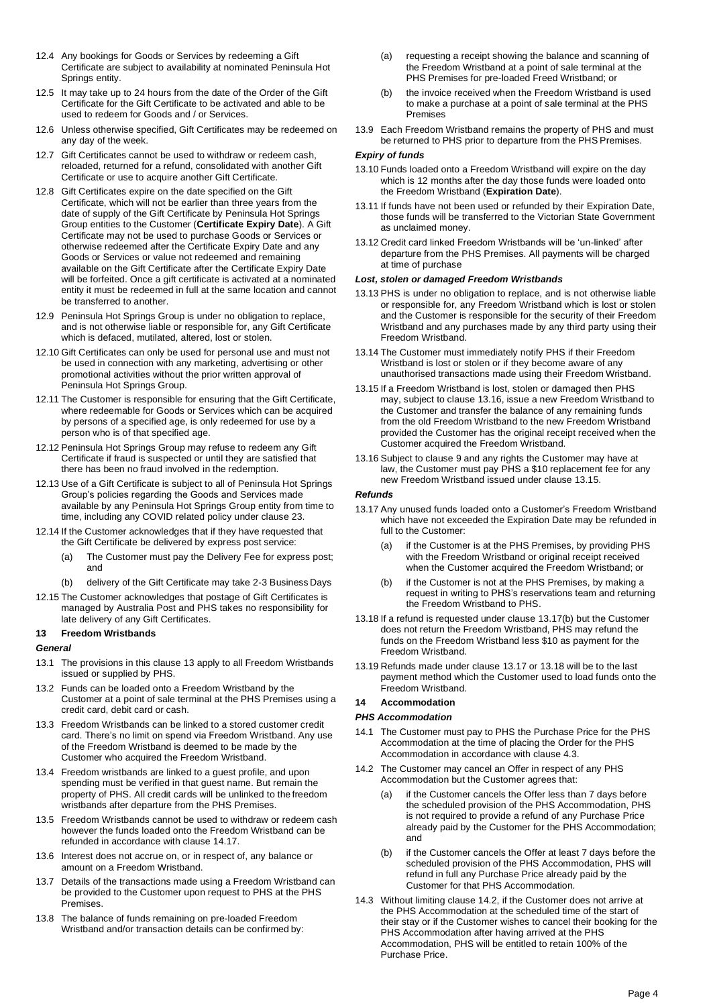- 12.4 Any bookings for Goods or Services by redeeming a Gift Certificate are subject to availability at nominated Peninsula Hot Springs entity.
- 12.5 It may take up to 24 hours from the date of the Order of the Gift Certificate for the Gift Certificate to be activated and able to be used to redeem for Goods and / or Services.
- 12.6 Unless otherwise specified, Gift Certificates may be redeemed on any day of the week.
- 12.7 Gift Certificates cannot be used to withdraw or redeem cash, reloaded, returned for a refund, consolidated with another Gift Certificate or use to acquire another Gift Certificate.
- 12.8 Gift Certificates expire on the date specified on the Gift Certificate, which will not be earlier than three years from the date of supply of the Gift Certificate by Peninsula Hot Springs Group entities to the Customer (**Certificate Expiry Date**). A Gift Certificate may not be used to purchase Goods or Services or otherwise redeemed after the Certificate Expiry Date and any Goods or Services or value not redeemed and remaining available on the Gift Certificate after the Certificate Expiry Date will be forfeited. Once a gift certificate is activated at a nominated entity it must be redeemed in full at the same location and cannot be transferred to another.
- 12.9 Peninsula Hot Springs Group is under no obligation to replace, and is not otherwise liable or responsible for, any Gift Certificate which is defaced, mutilated, altered, lost or stolen.
- 12.10 Gift Certificates can only be used for personal use and must not be used in connection with any marketing, advertising or other promotional activities without the prior written approval of Peninsula Hot Springs Group.
- 12.11 The Customer is responsible for ensuring that the Gift Certificate, where redeemable for Goods or Services which can be acquired by persons of a specified age, is only redeemed for use by a person who is of that specified age.
- 12.12 Peninsula Hot Springs Group may refuse to redeem any Gift Certificate if fraud is suspected or until they are satisfied that there has been no fraud involved in the redemption.
- 12.13 Use of a Gift Certificate is subject to all of Peninsula Hot Springs Group's policies regarding the Goods and Services made available by any Peninsula Hot Springs Group entity from time to time, including any COVID related policy under clause [23.](#page-5-0)
- 12.14 If the Customer acknowledges that if they have requested that the Gift Certificate be delivered by express post service:
	- (a) The Customer must pay the Delivery Fee for express post; and
	- (b) delivery of the Gift Certificate may take 2-3 Business Days
- 12.15 The Customer acknowledges that postage of Gift Certificates is managed by Australia Post and PHS takes no responsibility for late delivery of any Gift Certificates.

### <span id="page-3-0"></span>**13 Freedom Wristbands**

### *General*

- 13.1 The provisions in this clause [13 a](#page-3-0)pply to all Freedom Wristbands issued or supplied by PHS.
- 13.2 Funds can be loaded onto a Freedom Wristband by the Customer at a point of sale terminal at the PHS Premises using a credit card, debit card or cash.
- 13.3 Freedom Wristbands can be linked to a stored customer credit card. There's no limit on spend via Freedom Wristband. Any use of the Freedom Wristband is deemed to be made by the Customer who acquired the Freedom Wristband.
- 13.4 Freedom wristbands are linked to a guest profile, and upon spending must be verified in that guest name. But remain the property of PHS. All credit cards will be unlinked to the freedom wristbands after departure from the PHS Premises.
- 13.5 Freedom Wristbands cannot be used to withdraw or redeem cash however the funds loaded onto the Freedom Wristband can be refunded in accordance with clause 14.17.
- 13.6 Interest does not accrue on, or in respect of, any balance or amount on a Freedom Wristband.
- 13.7 Details of the transactions made using a Freedom Wristband can be provided to the Customer upon request to PHS at the PHS **Premises**
- 13.8 The balance of funds remaining on pre-loaded Freedom Wristband and/or transaction details can be confirmed by:
- (a) requesting a receipt showing the balance and scanning of the Freedom Wristband at a point of sale terminal at the PHS Premises for pre-loaded Freed Wristband; or
- (b) the invoice received when the Freedom Wristband is used to make a purchase at a point of sale terminal at the PHS Premises
- 13.9 Each Freedom Wristband remains the property of PHS and must be returned to PHS prior to departure from the PHS Premises.

#### *Expiry of funds*

- 13.10 Funds loaded onto a Freedom Wristband will expire on the day which is 12 months after the day those funds were loaded onto the Freedom Wristband (**Expiration Date**).
- 13.11 If funds have not been used or refunded by their Expiration Date, those funds will be transferred to the Victorian State Government as unclaimed money.
- 13.12 Credit card linked Freedom Wristbands will be 'un-linked' after departure from the PHS Premises. All payments will be charged at time of purchase

## *Lost, stolen or damaged Freedom Wristbands*

- 13.13 PHS is under no obligation to replace, and is not otherwise liable or responsible for, any Freedom Wristband which is lost or stolen and the Customer is responsible for the security of their Freedom Wristband and any purchases made by any third party using their Freedom Wristband.
- 13.14 The Customer must immediately notify PHS if their Freedom Wristband is lost or stolen or if they become aware of any unauthorised transactions made using their Freedom Wristband.
- <span id="page-3-2"></span>13.15 If a Freedom Wristband is lost, stolen or damaged then PHS may, subject to claus[e 13.16, is](#page-3-1)sue a new Freedom Wristband to the Customer and transfer the balance of any remaining funds from the old Freedom Wristband to the new Freedom Wristband provided the Customer has the original receipt received when the Customer acquired the Freedom Wristband.
- <span id="page-3-1"></span>13.16 Subject to clause [9 a](#page-1-3)nd any rights the Customer may have at law, the Customer must pay PHS a \$10 replacement fee for any new Freedom Wristband issued under clause [13.15.](#page-3-2)

#### *Refunds*

- <span id="page-3-4"></span>13.17 Any unused funds loaded onto a Customer's Freedom Wristband which have not exceeded the Expiration Date may be refunded in full to the Customer:
	- if the Customer is at the PHS Premises, by providing PHS with the Freedom Wristband or original receipt received when the Customer acquired the Freedom Wristband; or
	- (b) if the Customer is not at the PHS Premises, by making a request in writing to PHS's reservations team and returning the Freedom Wristband to PHS.
- <span id="page-3-5"></span><span id="page-3-3"></span>13.18 If a refund is requested under clause [13.17\(b\) b](#page-3-3)ut the Customer does not return the Freedom Wristband, PHS may refund the funds on the Freedom Wristband less \$10 as payment for the Freedom Wristband.
- 13.19 Refunds made under clause [13.17 o](#page-3-4)r [13.18 w](#page-3-5)ill be to the last payment method which the Customer used to load funds onto the Freedom Wristband.

### **14 Accommodation**

### *PHS Accommodation*

- 14.1 The Customer must pay to PHS the Purchase Price for the PHS Accommodation at the time of placing the Order for the PHS Accommodation in accordance with clause [4.3.](#page-1-6)
- <span id="page-3-6"></span>14.2 The Customer may cancel an Offer in respect of any PHS Accommodation but the Customer agrees that:
	- (a) if the Customer cancels the Offer less than 7 days before the scheduled provision of the PHS Accommodation, PHS is not required to provide a refund of any Purchase Price already paid by the Customer for the PHS Accommodation; and
	- (b) if the Customer cancels the Offer at least 7 days before the scheduled provision of the PHS Accommodation, PHS will refund in full any Purchase Price already paid by the Customer for that PHS Accommodation.
- 14.3 Without limiting clause [14.2, if](#page-3-6) the Customer does not arrive at the PHS Accommodation at the scheduled time of the start of their stay or if the Customer wishes to cancel their booking for the PHS Accommodation after having arrived at the PHS Accommodation, PHS will be entitled to retain 100% of the Purchase Price.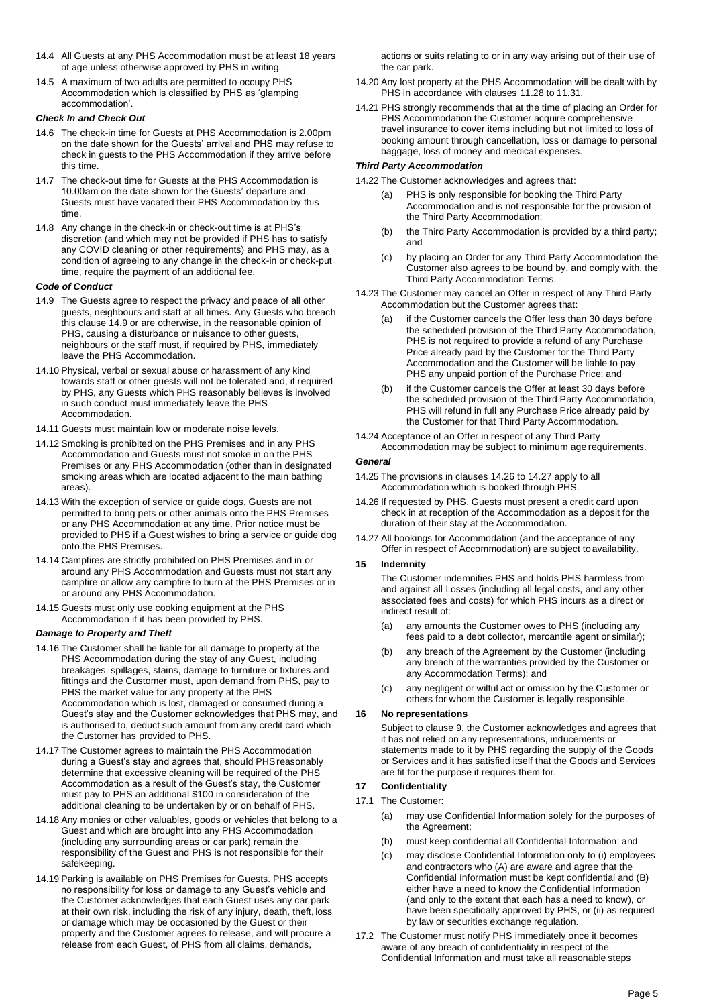- 14.4 All Guests at any PHS Accommodation must be at least 18 years of age unless otherwise approved by PHS in writing.
- 14.5 A maximum of two adults are permitted to occupy PHS Accommodation which is classified by PHS as 'glamping accommodation'.

# *Check In and Check Out*

- 14.6 The check-in time for Guests at PHS Accommodation is 2.00pm on the date shown for the Guests' arrival and PHS may refuse to check in guests to the PHS Accommodation if they arrive before this time.
- 14.7 The check-out time for Guests at the PHS Accommodation is 10.00am on the date shown for the Guests' departure and Guests must have vacated their PHS Accommodation by this time.
- 14.8 Any change in the check-in or check-out time is at PHS's discretion (and which may not be provided if PHS has to satisfy any COVID cleaning or other requirements) and PHS may, as a condition of agreeing to any change in the check-in or check-put time, require the payment of an additional fee.

### *Code of Conduct*

- 14.9 The Guests agree to respect the privacy and peace of all other guests, neighbours and staff at all times. Any Guests who breach this clause 14.9 or are otherwise, in the reasonable opinion of PHS, causing a disturbance or nuisance to other guests, neighbours or the staff must, if required by PHS, immediately leave the PHS Accommodation.
- 14.10 Physical, verbal or sexual abuse or harassment of any kind towards staff or other guests will not be tolerated and, if required by PHS, any Guests which PHS reasonably believes is involved in such conduct must immediately leave the PHS Accommodation.
- 14.11 Guests must maintain low or moderate noise levels.
- 14.12 Smoking is prohibited on the PHS Premises and in any PHS Accommodation and Guests must not smoke in on the PHS Premises or any PHS Accommodation (other than in designated smoking areas which are located adjacent to the main bathing areas).
- 14.13 With the exception of service or guide dogs, Guests are not permitted to bring pets or other animals onto the PHS Premises or any PHS Accommodation at any time. Prior notice must be provided to PHS if a Guest wishes to bring a service or guide dog onto the PHS Premises.
- 14.14 Campfires are strictly prohibited on PHS Premises and in or around any PHS Accommodation and Guests must not start any campfire or allow any campfire to burn at the PHS Premises or in or around any PHS Accommodation.
- 14.15 Guests must only use cooking equipment at the PHS Accommodation if it has been provided by PHS.

### *Damage to Property and Theft*

- 14.16 The Customer shall be liable for all damage to property at the PHS Accommodation during the stay of any Guest, including breakages, spillages, stains, damage to furniture or fixtures and fittings and the Customer must, upon demand from PHS, pay to PHS the market value for any property at the PHS Accommodation which is lost, damaged or consumed during a Guest's stay and the Customer acknowledges that PHS may, and is authorised to, deduct such amount from any credit card which the Customer has provided to PHS.
- 14.17 The Customer agrees to maintain the PHS Accommodation during a Guest's stay and agrees that, should PHSreasonably determine that excessive cleaning will be required of the PHS Accommodation as a result of the Guest's stay, the Customer must pay to PHS an additional \$100 in consideration of the additional cleaning to be undertaken by or on behalf of PHS.
- 14.18 Any monies or other valuables, goods or vehicles that belong to a Guest and which are brought into any PHS Accommodation (including any surrounding areas or car park) remain the responsibility of the Guest and PHS is not responsible for their safekeeping.
- 14.19 Parking is available on PHS Premises for Guests. PHS accepts no responsibility for loss or damage to any Guest's vehicle and the Customer acknowledges that each Guest uses any car park at their own risk, including the risk of any injury, death, theft, loss or damage which may be occasioned by the Guest or their property and the Customer agrees to release, and will procure a release from each Guest, of PHS from all claims, demands,

actions or suits relating to or in any way arising out of their use of the car park.

- 14.20 Any lost property at the PHS Accommodation will be dealt with by PHS in accordance with clauses 11.28 to 11.31.
- 14.21 PHS strongly recommends that at the time of placing an Order for PHS Accommodation the Customer acquire comprehensive travel insurance to cover items including but not limited to loss of booking amount through cancellation, loss or damage to personal baggage, loss of money and medical expenses.

# *Third Party Accommodation*

14.22 The Customer acknowledges and agrees that:

- (a) PHS is only responsible for booking the Third Party Accommodation and is not responsible for the provision of the Third Party Accommodation;
- (b) the Third Party Accommodation is provided by a third party; and
- (c) by placing an Order for any Third Party Accommodation the Customer also agrees to be bound by, and comply with, the Third Party Accommodation Terms.
- <span id="page-4-0"></span>14.23 The Customer may cancel an Offer in respect of any Third Party Accommodation but the Customer agrees that:
	- (a) if the Customer cancels the Offer less than 30 days before the scheduled provision of the Third Party Accommodation, PHS is not required to provide a refund of any Purchase Price already paid by the Customer for the Third Party Accommodation and the Customer will be liable to pay PHS any unpaid portion of the Purchase Price; and
	- (b) if the Customer cancels the Offer at least 30 days before the scheduled provision of the Third Party Accommodation, PHS will refund in full any Purchase Price already paid by the Customer for that Third Party Accommodation.
- 14.24 Acceptance of an Offer in respect of any Third Party Accommodation may be subject to minimum age requirements.

### *General*

- 14.25 The provisions in clauses 14.26 to 14.27 apply to all Accommodation which is booked through PHS.
- 14.26 If requested by PHS, Guests must present a credit card upon check in at reception of the Accommodation as a deposit for the duration of their stay at the Accommodation.
- 14.27 All bookings for Accommodation (and the acceptance of any Offer in respect of Accommodation) are subject to availability.

### **15 Indemnity**

The Customer indemnifies PHS and holds PHS harmless from and against all Losses (including all legal costs, and any other associated fees and costs) for which PHS incurs as a direct or indirect result of:

- (a) any amounts the Customer owes to PHS (including any fees paid to a debt collector, mercantile agent or similar);
- (b) any breach of the Agreement by the Customer (including any breach of the warranties provided by the Customer or any Accommodation Terms); and
- (c) any negligent or wilful act or omission by the Customer or others for whom the Customer is legally responsible.

### **16 No representations**

Subject to clause 9, the Customer acknowledges and agrees that it has not relied on any representations, inducements or statements made to it by PHS regarding the supply of the Goods or Services and it has satisfied itself that the Goods and Services are fit for the purpose it requires them for.

# **17 Confidentiality**

- 17.1 The Customer:
	- (a) may use Confidential Information solely for the purposes of the Agreement;
	- (b) must keep confidential all Confidential Information; and
	- (c) may disclose Confidential Information only to (i) employees and contractors who (A) are aware and agree that the Confidential Information must be kept confidential and (B) either have a need to know the Confidential Information (and only to the extent that each has a need to know), or have been specifically approved by PHS, or (ii) as required by law or securities exchange regulation.
- 17.2 The Customer must notify PHS immediately once it becomes aware of any breach of confidentiality in respect of the Confidential Information and must take all reasonable steps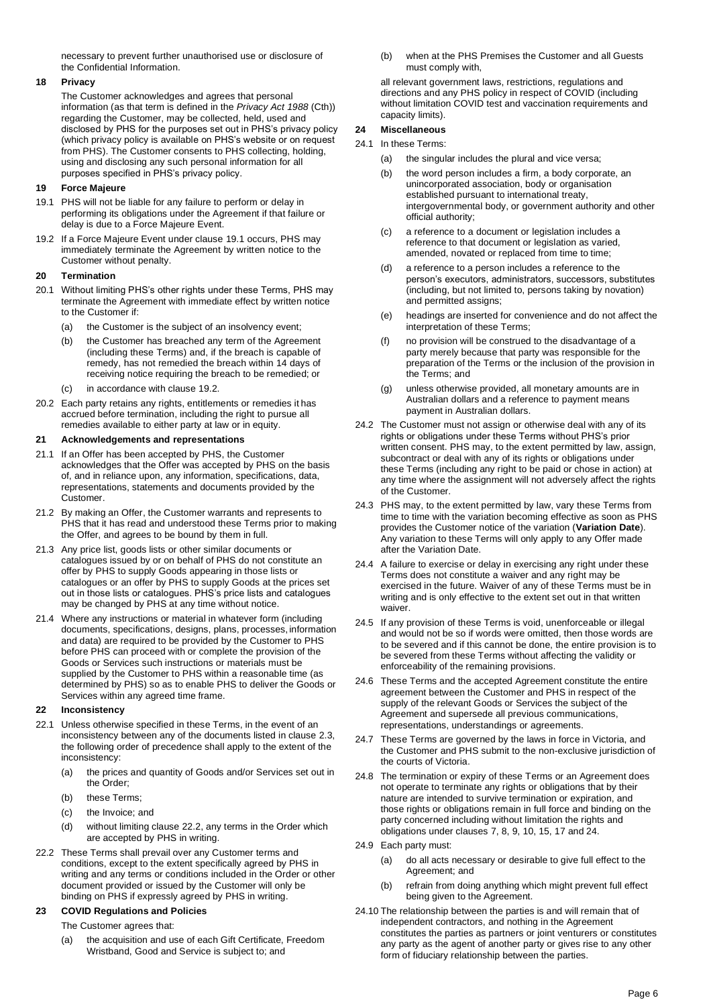necessary to prevent further unauthorised use or disclosure of the Confidential Information.

# **18 Privacy**

The Customer acknowledges and agrees that personal information (as that term is defined in the *Privacy Act 1988* (Cth)) regarding the Customer, may be collected, held, used and disclosed by PHS for the purposes set out in PHS's privacy policy (which privacy policy is available on PHS's website or on request from PHS). The Customer consents to PHS collecting, holding, using and disclosing any such personal information for all purposes specified in PHS's privacy policy.

### **19 Force Majeure**

- 19.1 PHS will not be liable for any failure to perform or delay in performing its obligations under the Agreement if that failure or delay is due to a Force Majeure Event.
- 19.2 If a Force Majeure Event under clause 19.1 occurs, PHS may immediately terminate the Agreement by written notice to the Customer without penalty.

### **20 Termination**

- 20.1 Without limiting PHS's other rights under these Terms, PHS may terminate the Agreement with immediate effect by written notice to the Customer if:
	- (a) the Customer is the subject of an insolvency event;
	- (b) the Customer has breached any term of the Agreement (including these Terms) and, if the breach is capable of remedy, has not remedied the breach within 14 days of receiving notice requiring the breach to be remedied; or
	- (c) in accordance with clause 19.2.
- 20.2 Each party retains any rights, entitlements or remedies it has accrued before termination, including the right to pursue all remedies available to either party at law or in equity.

### **21 Acknowledgements and representations**

- 21.1 If an Offer has been accepted by PHS, the Customer acknowledges that the Offer was accepted by PHS on the basis of, and in reliance upon, any information, specifications, data, representations, statements and documents provided by the Customer.
- 21.2 By making an Offer, the Customer warrants and represents to PHS that it has read and understood these Terms prior to making the Offer, and agrees to be bound by them in full.
- 21.3 Any price list, goods lists or other similar documents or catalogues issued by or on behalf of PHS do not constitute an offer by PHS to supply Goods appearing in those lists or catalogues or an offer by PHS to supply Goods at the prices set out in those lists or catalogues. PHS's price lists and catalogues may be changed by PHS at any time without notice.
- 21.4 Where any instructions or material in whatever form (including documents, specifications, designs, plans, processes, information and data) are required to be provided by the Customer to PHS before PHS can proceed with or complete the provision of the Goods or Services such instructions or materials must be supplied by the Customer to PHS within a reasonable time (as determined by PHS) so as to enable PHS to deliver the Goods or Services within any agreed time frame.

### **22 Inconsistency**

- 22.1 Unless otherwise specified in these Terms, in the event of an inconsistency between any of the documents listed in clause 2.3, the following order of precedence shall apply to the extent of the inconsistency:
	- (a) the prices and quantity of Goods and/or Services set out in the Order;
	- (b) these Terms
	- (c) the Invoice; and
	- (d) without limiting clause 22.2, any terms in the Order which are accepted by PHS in writing.
- 22.2 These Terms shall prevail over any Customer terms and conditions, except to the extent specifically agreed by PHS in writing and any terms or conditions included in the Order or other document provided or issued by the Customer will only be binding on PHS if expressly agreed by PHS in writing.

### <span id="page-5-0"></span>**23 COVID Regulations and Policies**

The Customer agrees that:

(a) the acquisition and use of each Gift Certificate, Freedom Wristband, Good and Service is subject to; and

(b) when at the PHS Premises the Customer and all Guests must comply with,

all relevant government laws, restrictions, regulations and directions and any PHS policy in respect of COVID (including without limitation COVID test and vaccination requirements and capacity limits).

# **24 Miscellaneous**

### 24.1 In these Terms:

- (a) the singular includes the plural and vice versa;
- (b) the word person includes a firm, a body corporate, an unincorporated association, body or organisation established pursuant to international treaty, intergovernmental body, or government authority and other official authority;
- (c) a reference to a document or legislation includes a reference to that document or legislation as varied, amended, novated or replaced from time to time;
- (d) a reference to a person includes a reference to the person's executors, administrators, successors, substitutes (including, but not limited to, persons taking by novation) and permitted assigns;
- (e) headings are inserted for convenience and do not affect the interpretation of these Terms;
- (f) no provision will be construed to the disadvantage of a party merely because that party was responsible for the preparation of the Terms or the inclusion of the provision in the Terms; and
- (g) unless otherwise provided, all monetary amounts are in Australian dollars and a reference to payment means payment in Australian dollars.
- 24.2 The Customer must not assign or otherwise deal with any of its rights or obligations under these Terms without PHS's prior written consent. PHS may, to the extent permitted by law, assign, subcontract or deal with any of its rights or obligations under these Terms (including any right to be paid or chose in action) at any time where the assignment will not adversely affect the rights of the Customer.
- 24.3 PHS may, to the extent permitted by law, vary these Terms from time to time with the variation becoming effective as soon as PHS provides the Customer notice of the variation (**Variation Date**). Any variation to these Terms will only apply to any Offer made after the Variation Date.
- 24.4 A failure to exercise or delay in exercising any right under these Terms does not constitute a waiver and any right may be exercised in the future. Waiver of any of these Terms must be in writing and is only effective to the extent set out in that written waiver.
- 24.5 If any provision of these Terms is void, unenforceable or illegal and would not be so if words were omitted, then those words are to be severed and if this cannot be done, the entire provision is to be severed from these Terms without affecting the validity or enforceability of the remaining provisions.
- 24.6 These Terms and the accepted Agreement constitute the entire agreement between the Customer and PHS in respect of the supply of the relevant Goods or Services the subject of the Agreement and supersede all previous communications, representations, understandings or agreements.
- 24.7 These Terms are governed by the laws in force in Victoria, and the Customer and PHS submit to the non-exclusive jurisdiction of the courts of Victoria.
- 24.8 The termination or expiry of these Terms or an Agreement does not operate to terminate any rights or obligations that by their nature are intended to survive termination or expiration, and those rights or obligations remain in full force and binding on the party concerned including without limitation the rights and obligations under clauses 7, 8, 9, 10, 15, 17 and 24.
- 24.9 Each party must:
	- (a) do all acts necessary or desirable to give full effect to the Agreement; and
	- (b) refrain from doing anything which might prevent full effect being given to the Agreement.
- 24.10 The relationship between the parties is and will remain that of independent contractors, and nothing in the Agreement constitutes the parties as partners or joint venturers or constitutes any party as the agent of another party or gives rise to any other form of fiduciary relationship between the parties.